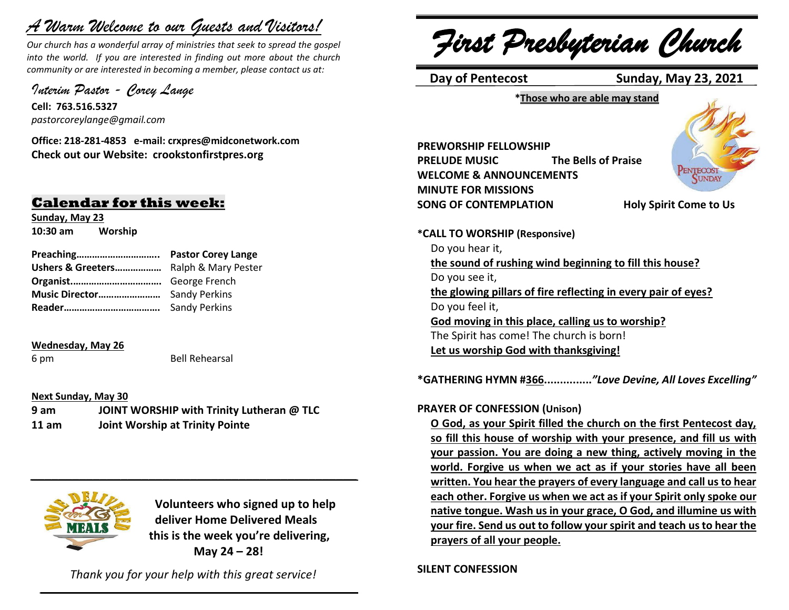# *A Warm Welcome to our Guests and Visitors!*

*Our church has a wonderful array of ministries that seek to spread the gospel into the world. If you are interested in finding out more about the church community or are interested in becoming a member, please contact us at:*

*Interim Pastor - Corey Lange* 

**Cell: 763.516.5327** *pastorcoreylange@gmail.com*

**Office: 218-281-4853 e-mail: crxpres@midconetwork.com Check out our Website: crookstonfirstpres.org**

# **Calendar for this week:**

**Sunday, May 23 10:30 am Worship**

| Ushers & Greeters Ralph & Mary Pester |                      |
|---------------------------------------|----------------------|
|                                       |                      |
|                                       |                      |
|                                       | <b>Sandy Perkins</b> |

#### **Wednesday, May 26**

6 pm Bell Rehearsal

#### **Next Sunday, May 30**

**9 am JOINT WORSHIP with Trinity Lutheran @ TLC 11 am Joint Worship at Trinity Pointe**



 **Volunteers who signed up to help deliver Home Delivered Meals this is the week you're delivering, May 24 – 28!**

*Thank you for your help with this great service!*  $\mathcal{L} = \{ \mathcal{L} = \{ \mathcal{L} \mid \mathcal{L} = \{ \mathcal{L} \mid \mathcal{L} = \{ \mathcal{L} \mid \mathcal{L} = \{ \mathcal{L} \mid \mathcal{L} = \{ \mathcal{L} \mid \mathcal{L} = \{ \mathcal{L} \mid \mathcal{L} = \{ \mathcal{L} \mid \mathcal{L} = \{ \mathcal{L} \mid \mathcal{L} = \{ \mathcal{L} \mid \mathcal{L} = \{ \mathcal{L} \mid \mathcal{L} = \{ \mathcal{L} \mid \mathcal{L} = \{ \mathcal{L} \mid \mathcal{L} =$ 

*\_\_\_\_\_\_\_\_\_\_\_\_\_\_\_\_\_\_\_\_\_\_\_\_\_\_\_\_\_\_\_\_\_\_\_\_\_\_\_\_\_\_\_\_\_\_\_*

*First Presbyterian Church*

 **Day of Pentecost Sunday, May 23, 2021**

**\*Those who are able may stand**

**PREWORSHIP FELLOWSHIP PRELUDE MUSIC The Bells of Praise WELCOME & ANNOUNCEMENTS MINUTE FOR MISSIONS SONG OF CONTEMPLATION Holy Spirit Come to Us**



**PENTECOST** UNDAY

**\*CALL TO WORSHIP (Responsive)** Do you hear it, **the sound of rushing wind beginning to fill this house?** Do you see it, **the glowing pillars of fire reflecting in every pair of eyes?** Do you feel it, **God moving in this place, calling us to worship?** The Spirit has come! The church is born! **Let us worship God with thanksgiving!**

**\*GATHERING HYMN #366...............***"Love Devine, All Loves Excelling"*

# **PRAYER OF CONFESSION (Unison)**

**O God, as your Spirit filled the church on the first Pentecost day, so fill this house of worship with your presence, and fill us with your passion. You are doing a new thing, actively moving in the world. Forgive us when we act as if your stories have all been written. You hear the prayers of every language and call us to hear each other. Forgive us when we act as if your Spirit only spoke our native tongue. Wash us in your grace, O God, and illumine us with your fire. Send us out to follow your spirit and teach us to hear the prayers of all your people.**

**SILENT CONFESSION**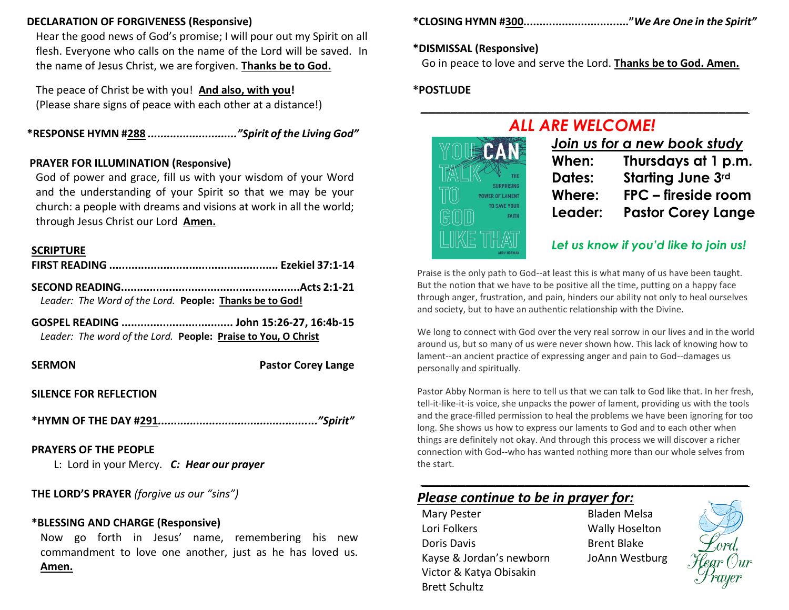# **DECLARATION OF FORGIVENESS (Responsive)**

Hear the good news of God's promise; I will pour out my Spirit on all flesh. Everyone who calls on the name of the Lord will be saved. In the name of Jesus Christ, we are forgiven. **Thanks be to God.**

The peace of Christ be with you! **And also, with you!** (Please share signs of peace with each other at a distance!)

**\*RESPONSE HYMN #288** *............................"Spirit of the Living God"*

# **PRAYER FOR ILLUMINATION (Responsive)**

God of power and grace, fill us with your wisdom of your Word and the understanding of your Spirit so that we may be your church: a people with dreams and visions at work in all the world; through Jesus Christ our Lord **Amen.**

# **SCRIPTURE**

| Leader: The Word of the Lord. People: Thanks be to God! |  |
|---------------------------------------------------------|--|
|                                                         |  |

| Leader: The word of the Lord. People: Praise to You, O Christ |
|---------------------------------------------------------------|

**SERMON** Pastor Corey Lange

# **SILENCE FOR REFLECTION**

**\*HYMN OF THE DAY #291***.................................................."Spirit"*

# **PRAYERS OF THE PEOPLE**

L: Lord in your Mercy. *C: Hear our prayer*

**THE LORD'S PRAYER** *(forgive us our "sins")* 

# **\*BLESSING AND CHARGE (Responsive)**

Now go forth in Jesus' name, remembering his new commandment to love one another, just as he has loved us. **Amen.**

**\*CLOSING HYMN #300................................."***We Are One in the Spirit"*

# **\*DISMISSAL (Responsive)**

Go in peace to love and serve the Lord. **Thanks be to God. Amen.**

*\_\_\_\_\_\_\_\_\_\_\_\_\_\_\_\_\_\_\_\_\_\_\_\_\_\_\_\_\_\_\_\_\_\_\_\_\_\_\_\_\_\_\_\_*

# **\*POSTLUDE**



| Join us for a new book study |                           |  |
|------------------------------|---------------------------|--|
| When:                        | Thursdays at 1 p.m.       |  |
| <b>Dates:</b>                | <b>Starting June 3rd</b>  |  |
| Where:                       | FPC - fireside room       |  |
| Leader:                      | <b>Pastor Corey Lange</b> |  |
|                              |                           |  |

# *Let us know if you'd like to join us!*

Praise is the only path to God--at least this is what many of us have been taught. But the notion that we have to be positive all the time, putting on a happy face through anger, frustration, and pain, hinders our ability not only to heal ourselves and society, but to have an authentic relationship with the Divine.

We long to connect with God over the very real sorrow in our lives and in the world around us, but so many of us were never shown how. This lack of knowing how to lament--an ancient practice of expressing anger and pain to God--damages us personally and spiritually.

Pastor Abby Norman is here to tell us that we can talk to God like that. In her fresh, tell-it-like-it-is voice, she unpacks the power of lament, providing us with the tools and the grace-filled permission to heal the problems we have been ignoring for too long. She shows us how to express our laments to God and to each other when things are definitely not okay. And through this process we will discover a richer connection with God--who has wanted nothing more than our whole selves from the start.

# *Please continue to be in prayer for:*

Mary Pester **Bladen Melsa** Lori Folkers **Wally Hoselton** Doris Davis **Brent Blake** Kayse & Jordan's newborn JoAnn Westburg Victor & Katya Obisakin Brett Schultz

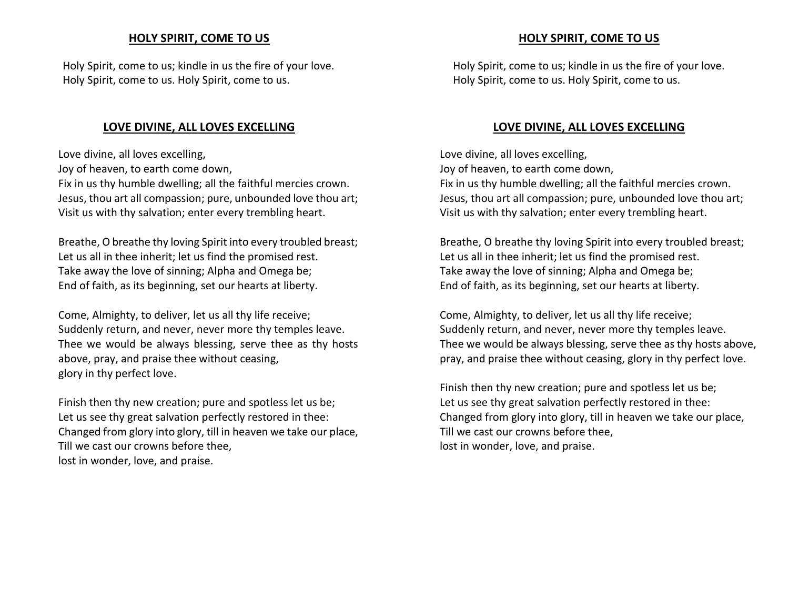# **HOLY SPIRIT, COME TO US**

Holy Spirit, come to us; kindle in us the fire of your love. Holy Spirit, come to us. Holy Spirit, come to us.

# **LOVE DIVINE, ALL LOVES EXCELLING**

Love divine, all loves excelling,

Joy of heaven, to earth come down,

Fix in us thy humble dwelling; all the faithful mercies crown. Jesus, thou art all compassion; pure, unbounded love thou art; Visit us with thy salvation; enter every trembling heart.

Breathe, O breathe thy loving Spirit into every troubled breast; Let us all in thee inherit; let us find the promised rest. Take away the love of sinning; Alpha and Omega be; End of faith, as its beginning, set our hearts at liberty.

Come, Almighty, to deliver, let us all thy life receive; Suddenly return, and never, never more thy temples leave. Thee we would be always blessing, serve thee as thy hosts above, pray, and praise thee without ceasing, glory in thy perfect love.

Finish then thy new creation; pure and spotless let us be; Let us see thy great salvation perfectly restored in thee: Changed from glory into glory, till in heaven we take our place, Till we cast our crowns before thee, lost in wonder, love, and praise.

# **HOLY SPIRIT, COME TO US**

Holy Spirit, come to us; kindle in us the fire of your love. Holy Spirit, come to us. Holy Spirit, come to us.

# **LOVE DIVINE, ALL LOVES EXCELLING**

Love divine, all loves excelling, Joy of heaven, to earth come down, Fix in us thy humble dwelling; all the faithful mercies crown. Jesus, thou art all compassion; pure, unbounded love thou art; Visit us with thy salvation; enter every trembling heart.

Breathe, O breathe thy loving Spirit into every troubled breast; Let us all in thee inherit; let us find the promised rest. Take away the love of sinning; Alpha and Omega be; End of faith, as its beginning, set our hearts at liberty.

Come, Almighty, to deliver, let us all thy life receive; Suddenly return, and never, never more thy temples leave. Thee we would be always blessing, serve thee as thy hosts above, pray, and praise thee without ceasing, glory in thy perfect love.

Finish then thy new creation; pure and spotless let us be; Let us see thy great salvation perfectly restored in thee: Changed from glory into glory, till in heaven we take our place, Till we cast our crowns before thee, lost in wonder, love, and praise.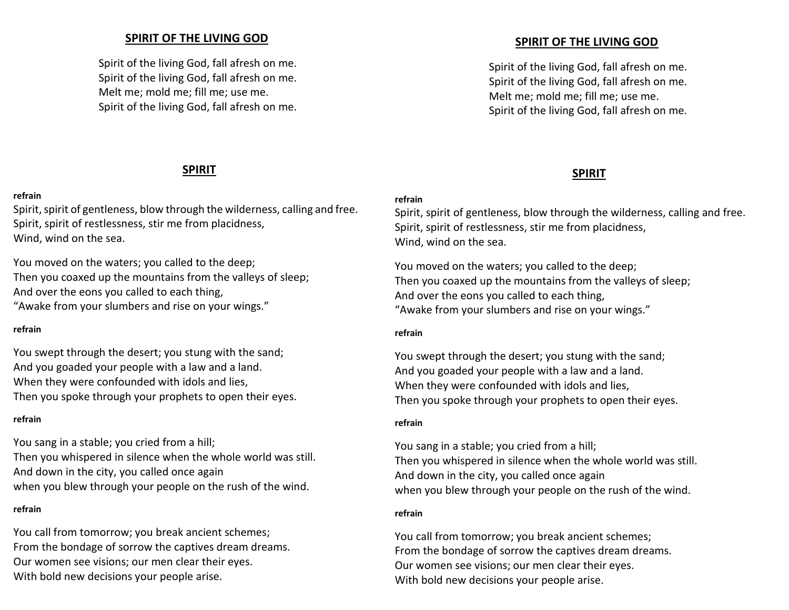# **SPIRIT OF THE LIVING GOD**

Spirit of the living God, fall afresh on me. Spirit of the living God, fall afresh on me. Melt me; mold me; fill me; use me. Spirit of the living God, fall afresh on me.

# **SPIRIT**

#### **refrain**

Spirit, spirit of gentleness, blow through the wilderness, calling and free. Spirit, spirit of restlessness, stir me from placidness, Wind, wind on the sea.

You moved on the waters; you called to the deep; Then you coaxed up the mountains from the valleys of sleep; And over the eons you called to each thing, "Awake from your slumbers and rise on your wings."

#### **refrain**

You swept through the desert; you stung with the sand; And you goaded your people with a law and a land. When they were confounded with idols and lies, Then you spoke through your prophets to open their eyes.

#### **refrain**

You sang in a stable; you cried from a hill; Then you whispered in silence when the whole world was still. And down in the city, you called once again when you blew through your people on the rush of the wind.

# **refrain**

You call from tomorrow; you break ancient schemes; From the bondage of sorrow the captives dream dreams. Our women see visions; our men clear their eyes. With bold new decisions your people arise.

# **SPIRIT OF THE LIVING GOD**

Spirit of the living God, fall afresh on me. Spirit of the living God, fall afresh on me. Melt me; mold me; fill me; use me. Spirit of the living God, fall afresh on me.

# **SPIRIT**

# **refrain**

Spirit, spirit of gentleness, blow through the wilderness, calling and free. Spirit, spirit of restlessness, stir me from placidness, Wind, wind on the sea.

You moved on the waters; you called to the deep; Then you coaxed up the mountains from the valleys of sleep; And over the eons you called to each thing, "Awake from your slumbers and rise on your wings."

#### **refrain**

You swept through the desert; you stung with the sand; And you goaded your people with a law and a land. When they were confounded with idols and lies, Then you spoke through your prophets to open their eyes.

#### **refrain**

You sang in a stable; you cried from a hill; Then you whispered in silence when the whole world was still. And down in the city, you called once again when you blew through your people on the rush of the wind.

# **refrain**

You call from tomorrow; you break ancient schemes; From the bondage of sorrow the captives dream dreams. Our women see visions; our men clear their eyes. With bold new decisions your people arise.